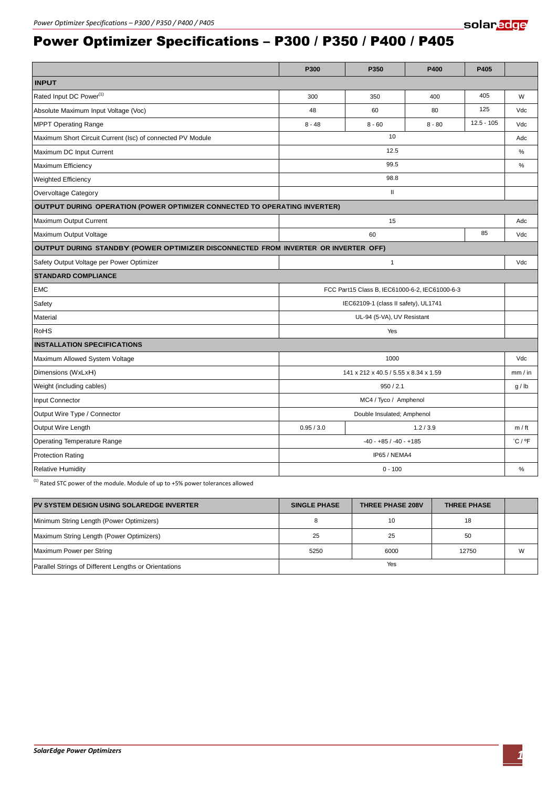## Power Optimizer Specifications – P300 / P350 / P400 / P405

|                                                                                    | P300                                           | P350     | P400     | P405         |                             |  |  |  |
|------------------------------------------------------------------------------------|------------------------------------------------|----------|----------|--------------|-----------------------------|--|--|--|
| <b>INPUT</b>                                                                       |                                                |          |          |              |                             |  |  |  |
| Rated Input DC Power <sup>(1)</sup>                                                | 300                                            | 350      | 400      | 405          | W                           |  |  |  |
| Absolute Maximum Input Voltage (Voc)                                               | 48                                             | 60       | 80       | 125          | Vdc                         |  |  |  |
| <b>MPPT Operating Range</b>                                                        | $8 - 48$                                       | $8 - 60$ | $8 - 80$ | $12.5 - 105$ | Vdc                         |  |  |  |
| Maximum Short Circuit Current (Isc) of connected PV Module                         | 10                                             |          |          |              | Adc                         |  |  |  |
| Maximum DC Input Current                                                           | 12.5                                           |          |          |              | $\%$                        |  |  |  |
| Maximum Efficiency                                                                 | 99.5                                           |          |          |              | $\%$                        |  |  |  |
| <b>Weighted Efficiency</b>                                                         | 98.8                                           |          |          |              |                             |  |  |  |
| Overvoltage Category                                                               | $\mathbf{H}$                                   |          |          |              |                             |  |  |  |
| OUTPUT DURING OPERATION (POWER OPTIMIZER CONNECTED TO OPERATING INVERTER)          |                                                |          |          |              |                             |  |  |  |
| Maximum Output Current                                                             | 15                                             |          |          |              | Adc                         |  |  |  |
| Maximum Output Voltage                                                             | 85<br>60                                       |          |          |              | Vdc                         |  |  |  |
| OUTPUT DURING STANDBY (POWER OPTIMIZER DISCONNECTED FROM INVERTER OR INVERTER OFF) |                                                |          |          |              |                             |  |  |  |
| Safety Output Voltage per Power Optimizer                                          | $\mathbf{1}$                                   |          |          |              | Vdc                         |  |  |  |
| <b>STANDARD COMPLIANCE</b>                                                         |                                                |          |          |              |                             |  |  |  |
| <b>EMC</b>                                                                         | FCC Part15 Class B, IEC61000-6-2, IEC61000-6-3 |          |          |              |                             |  |  |  |
| Safety                                                                             | IEC62109-1 (class II safety), UL1741           |          |          |              |                             |  |  |  |
| Material                                                                           | UL-94 (5-VA), UV Resistant                     |          |          |              |                             |  |  |  |
| RoHS                                                                               | Yes                                            |          |          |              |                             |  |  |  |
| <b>INSTALLATION SPECIFICATIONS</b>                                                 |                                                |          |          |              |                             |  |  |  |
| Maximum Allowed System Voltage                                                     | 1000                                           |          |          | Vdc          |                             |  |  |  |
| Dimensions (WxLxH)                                                                 | 141 x 212 x 40.5 / 5.55 x 8.34 x 1.59          |          |          |              | mm/in                       |  |  |  |
| Weight (including cables)                                                          | 950 / 2.1                                      |          |          |              | g / lb                      |  |  |  |
| Input Connector                                                                    | MC4 / Tyco / Amphenol                          |          |          |              |                             |  |  |  |
| Output Wire Type / Connector                                                       | Double Insulated; Amphenol                     |          |          |              |                             |  |  |  |
| Output Wire Length                                                                 | 0.95 / 3.0<br>1.2 / 3.9                        |          |          | m / ft       |                             |  |  |  |
| <b>Operating Temperature Range</b>                                                 | $-40 - +85 / -40 - +185$                       |          |          |              | $^{\circ}$ C / $^{\circ}$ F |  |  |  |
| <b>Protection Rating</b>                                                           | IP65 / NEMA4                                   |          |          |              |                             |  |  |  |
| <b>Relative Humidity</b>                                                           | $0 - 100$                                      |          |          | %            |                             |  |  |  |

 $^{(1)}$  Rated STC power of the module. Module of up to +5% power tolerances allowed

| PV SYSTEM DESIGN USING SOLAREDGE INVERTER             | <b>SINGLE PHASE</b> | <b>THREE PHASE 208V</b> | <b>THREE PHASE</b> |   |
|-------------------------------------------------------|---------------------|-------------------------|--------------------|---|
| Minimum String Length (Power Optimizers)              |                     | 10                      | 18                 |   |
| Maximum String Length (Power Optimizers)              | 25                  | 25                      | 50                 |   |
| Maximum Power per String                              | 5250                | 6000                    | 12750              | W |
| Parallel Strings of Different Lengths or Orientations | Yes                 |                         |                    |   |